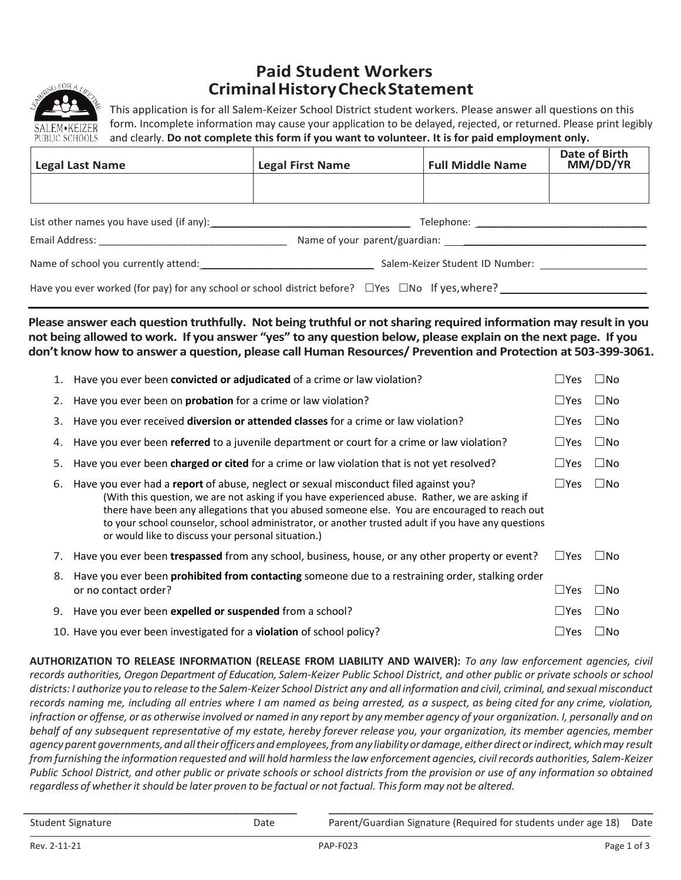

## **Paid Student Workers Criminal History Check Statement**

This application is for all Salem-Keizer School District student workers. Please answer all questions on this form. Incomplete information may cause your application to be delayed, rejected, or returned. Please print legibly and clearly. **Do not complete this form if you want to volunteer. It is for paid employment only.**

| <b>Date of Birth</b><br>MM/DD/YR<br><b>Full Middle Name</b><br><b>Legal First Name</b> | <b>Legal Last Name</b> |
|----------------------------------------------------------------------------------------|------------------------|
|                                                                                        |                        |

| List other names you have used (if any): | Telephone:                                                                                                   |
|------------------------------------------|--------------------------------------------------------------------------------------------------------------|
| Email Address:                           | Name of your parent/guardian:                                                                                |
| Name of school you currently attend:     | Salem-Keizer Student ID Number:                                                                              |
|                                          | Have you ever worked (for pay) for any school or school district before? $\Box$ Yes $\Box$ No If yes, where? |

**Please answer each question truthfully. Not being truthful or not sharing required information may result in you not being allowed to work. If you answer "yes" to any question below, please explain on the next page. If you don't know how to answer a question, please call Human Resources/ Prevention and Protection at 503-399-3061.**

|    | 1. Have you ever been convicted or adjudicated of a crime or law violation?                                                                                                                                                                                                                                                                                                                                                                         | $\square$ Yes | $\square$ No |
|----|-----------------------------------------------------------------------------------------------------------------------------------------------------------------------------------------------------------------------------------------------------------------------------------------------------------------------------------------------------------------------------------------------------------------------------------------------------|---------------|--------------|
|    | 2. Have you ever been on <b>probation</b> for a crime or law violation?                                                                                                                                                                                                                                                                                                                                                                             | $\square$ Yes | $\square$ No |
|    | 3. Have you ever received diversion or attended classes for a crime or law violation?                                                                                                                                                                                                                                                                                                                                                               | $\sqcup$ Yes  | $\square$ No |
|    | 4. Have you ever been referred to a juvenile department or court for a crime or law violation?                                                                                                                                                                                                                                                                                                                                                      | $\sqcup$ Yes  | $\square$ No |
| 5. | Have you ever been charged or cited for a crime or law violation that is not yet resolved?                                                                                                                                                                                                                                                                                                                                                          | $\sqcup$ Yes  | $\square$ No |
| 6. | Have you ever had a report of abuse, neglect or sexual misconduct filed against you?<br>(With this question, we are not asking if you have experienced abuse. Rather, we are asking if<br>there have been any allegations that you abused someone else. You are encouraged to reach out<br>to your school counselor, school administrator, or another trusted adult if you have any questions<br>or would like to discuss your personal situation.) | $\sqcup$ Yes  | $\square$ No |
|    | 7. Have you ever been trespassed from any school, business, house, or any other property or event?                                                                                                                                                                                                                                                                                                                                                  | $\sqcup$ Yes  | $\Box$ No    |
| 8. | Have you ever been <b>prohibited from contacting</b> someone due to a restraining order, stalking order<br>or no contact order?                                                                                                                                                                                                                                                                                                                     | $\sqcup$ Yes  | $\Box$ No    |
|    | 9. Have you ever been expelled or suspended from a school?                                                                                                                                                                                                                                                                                                                                                                                          | $\square$ Yes | $\square$ No |
|    | 10. Have you ever been investigated for a violation of school policy?                                                                                                                                                                                                                                                                                                                                                                               | $\sqcup$ Yes  | $\Box$ No    |

**AUTHORIZATION TO RELEASE INFORMATION (RELEASE FROM LIABILITY AND WAIVER):** *To any law enforcement agencies, civil records authorities, Oregon Department of Education, Salem-Keizer Public School District, and other public or private schools or school districts: I authorize you to release to the Salem-Keizer School District any and all information and civil, criminal, and sexual misconduct records naming me, including all entries where I am named as being arrested, as a suspect, as being cited for any crime, violation, infraction or offense, or as otherwise involved or named in any report by anymember agency of your organization. I, personally and on behalf of any subsequent representative of my estate, hereby forever release you, your organization, its member agencies, member agency parent governments, and alltheir officers and employees, from any liability or damage, either direct orindirect, which may result from furnishing the information requested and will hold harmless the law enforcement agencies, civil records authorities, Salem-Keizer Public School District, and other public or private schools or school districts from the provision or use of any information so obtained regardless of whether it should be later proven to be factual or not factual. This form may not be altered.*

\_\_\_\_\_\_\_\_\_\_\_\_\_\_\_\_\_\_\_\_\_\_\_\_\_\_\_\_\_\_\_\_\_\_\_\_\_\_\_\_\_\_\_ \_\_\_\_\_\_\_\_\_\_\_\_\_\_\_\_\_\_\_\_\_\_\_\_\_\_\_\_\_\_\_\_\_\_\_\_\_\_\_\_\_\_\_\_\_\_\_\_\_\_\_ Student Signature The Parent/Guardian Signature (Required for students under age 18) Date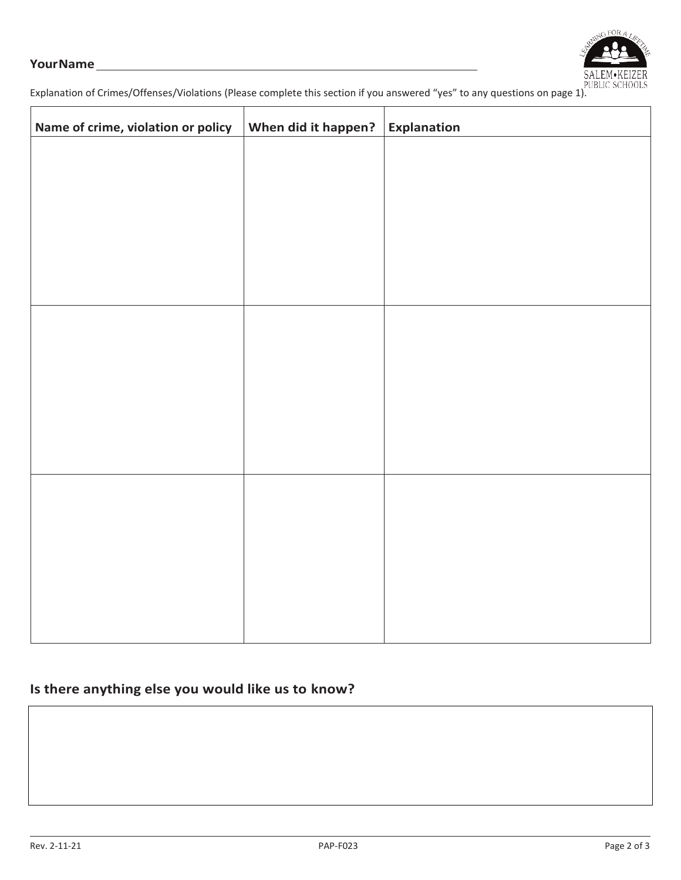#### **Your Name**



Explanation of Crimes/Offenses/Violations (Please complete this section if you answered "yes" to any questions on page 1).

| Name of crime, violation or policy | When did it happen? | Explanation |
|------------------------------------|---------------------|-------------|
|                                    |                     |             |
|                                    |                     |             |
|                                    |                     |             |
|                                    |                     |             |
|                                    |                     |             |
|                                    |                     |             |
|                                    |                     |             |
|                                    |                     |             |
|                                    |                     |             |
|                                    |                     |             |
|                                    |                     |             |
|                                    |                     |             |
|                                    |                     |             |
|                                    |                     |             |
|                                    |                     |             |
|                                    |                     |             |
|                                    |                     |             |
|                                    |                     |             |

### **Is there anything else you would like us to know?**